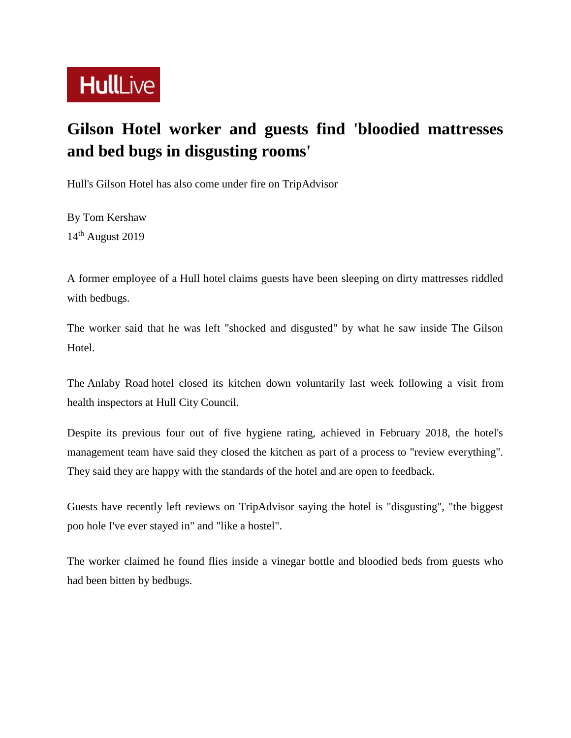

## **Gilson Hotel worker and guests find 'bloodied mattresses and bed bugs in disgusting rooms'**

Hull's Gilson Hotel has also come under fire on TripAdvisor

By Tom Kershaw 14th August 2019

A former employee of a Hull hotel claims guests have been sleeping on dirty mattresses riddled with bedbugs.

The worker said that he was left "shocked and disgusted" by what he saw inside The Gilson Hotel.

The Anlaby Road hotel closed its kitchen down voluntarily last week following a visit from health inspectors at Hull City Council.

Despite its previous four out of five hygiene rating, achieved in February 2018, the hotel's management team have said they closed the kitchen as part of a process to "review everything". They said they are happy with the standards of the hotel and are open to feedback.

Guests have recently left reviews on TripAdvisor saying the hotel is "disgusting", "the biggest poo hole I've ever stayed in" and "like a hostel".

The worker claimed he found flies inside a vinegar bottle and bloodied beds from guests who had been bitten by bedbugs.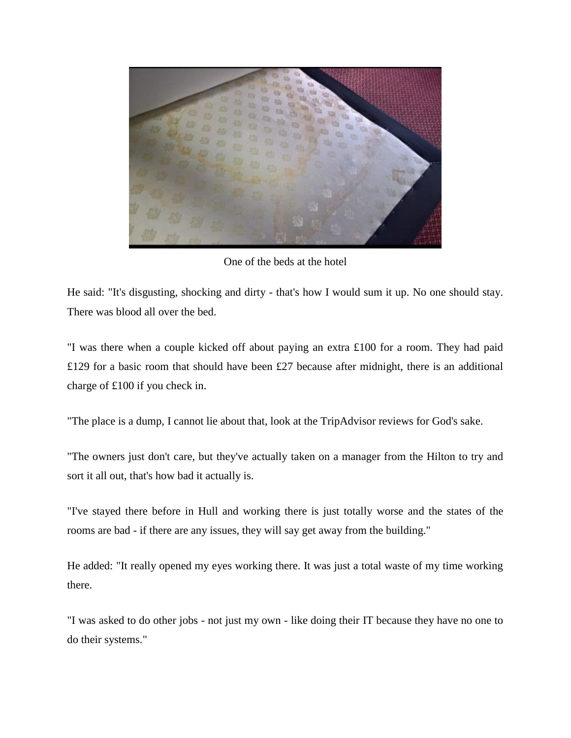

One of the beds at the hotel

He said: "It's disgusting, shocking and dirty - that's how I would sum it up. No one should stay. There was blood all over the bed.

"I was there when a couple kicked off about paying an extra £100 for a room. They had paid £129 for a basic room that should have been £27 because after midnight, there is an additional charge of £100 if you check in.

"The place is a dump, I cannot lie about that, look at the TripAdvisor reviews for God's sake.

"The owners just don't care, but they've actually taken on a manager from the Hilton to try and sort it all out, that's how bad it actually is.

"I've stayed there before in Hull and working there is just totally worse and the states of the rooms are bad - if there are any issues, they will say get away from the building."

He added: "It really opened my eyes working there. It was just a total waste of my time working there.

"I was asked to do other jobs - not just my own - like doing their IT because they have no one to do their systems."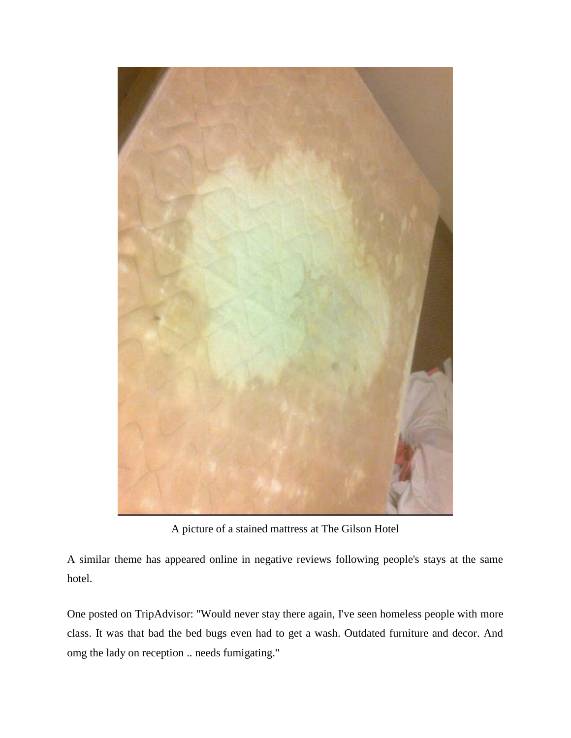

A picture of a stained mattress at The Gilson Hotel

A similar theme has appeared online in negative reviews following people's stays at the same hotel.

One posted on TripAdvisor: "Would never stay there again, I've seen homeless people with more class. It was that bad the bed bugs even had to get a wash. Outdated furniture and decor. And omg the lady on reception .. needs fumigating."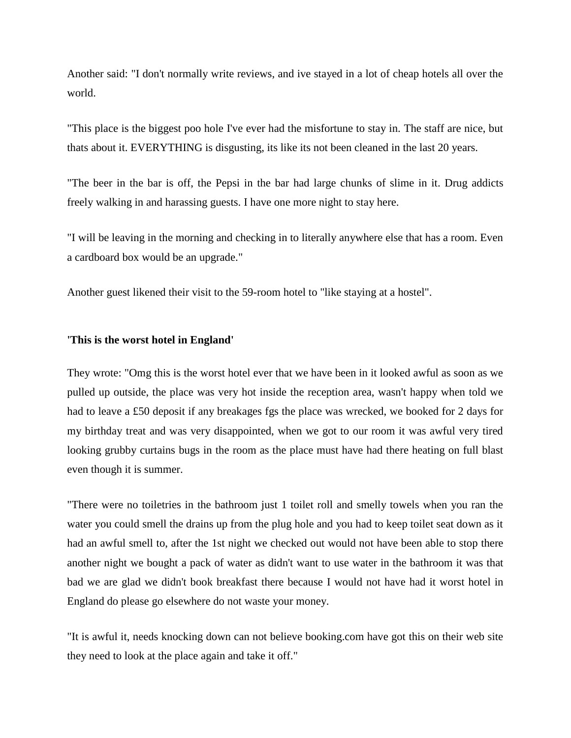Another said: "I don't normally write reviews, and ive stayed in a lot of cheap hotels all over the world.

"This place is the biggest poo hole I've ever had the misfortune to stay in. The staff are nice, but thats about it. EVERYTHING is disgusting, its like its not been cleaned in the last 20 years.

"The beer in the bar is off, the Pepsi in the bar had large chunks of slime in it. Drug addicts freely walking in and harassing guests. I have one more night to stay here.

"I will be leaving in the morning and checking in to literally anywhere else that has a room. Even a cardboard box would be an upgrade."

Another guest likened their visit to the 59-room hotel to "like staying at a hostel".

## **'This is the worst hotel in England'**

They wrote: "Omg this is the worst hotel ever that we have been in it looked awful as soon as we pulled up outside, the place was very hot inside the reception area, wasn't happy when told we had to leave a £50 deposit if any breakages fgs the place was wrecked, we booked for 2 days for my birthday treat and was very disappointed, when we got to our room it was awful very tired looking grubby curtains bugs in the room as the place must have had there heating on full blast even though it is summer.

"There were no toiletries in the bathroom just 1 toilet roll and smelly towels when you ran the water you could smell the drains up from the plug hole and you had to keep toilet seat down as it had an awful smell to, after the 1st night we checked out would not have been able to stop there another night we bought a pack of water as didn't want to use water in the bathroom it was that bad we are glad we didn't book breakfast there because I would not have had it worst hotel in England do please go elsewhere do not waste your money.

"It is awful it, needs knocking down can not believe booking.com have got this on their web site they need to look at the place again and take it off."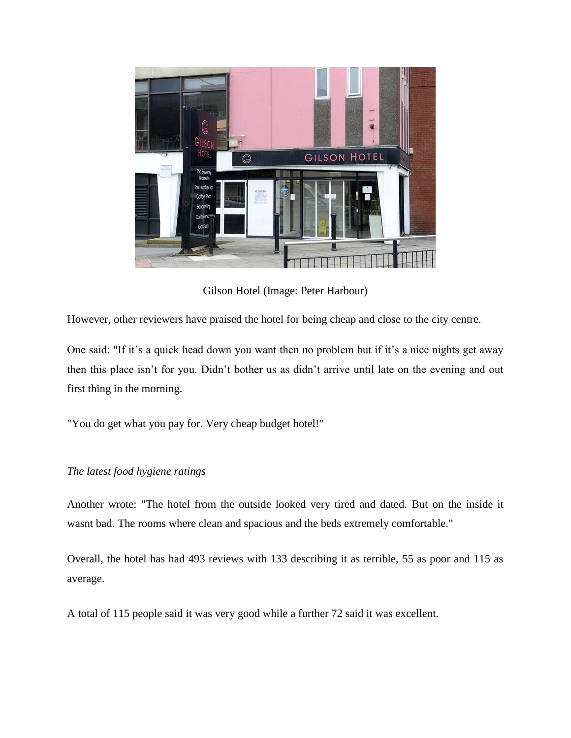

Gilson Hotel (Image: Peter Harbour)

However, other reviewers have praised the hotel for being cheap and close to the city centre.

One said: "If it's a quick head down you want then no problem but if it's a nice nights get away then this place isn't for you. Didn't bother us as didn't arrive until late on the evening and out first thing in the morning.

"You do get what you pay for. Very cheap budget hotel!"

## *The latest food hygiene ratings*

Another wrote: "The hotel from the outside looked very tired and dated. But on the inside it wasnt bad. The rooms where clean and spacious and the beds extremely comfortable."

Overall, the hotel has had 493 reviews with 133 describing it as terrible, 55 as poor and 115 as average.

A total of 115 people said it was very good while a further 72 said it was excellent.